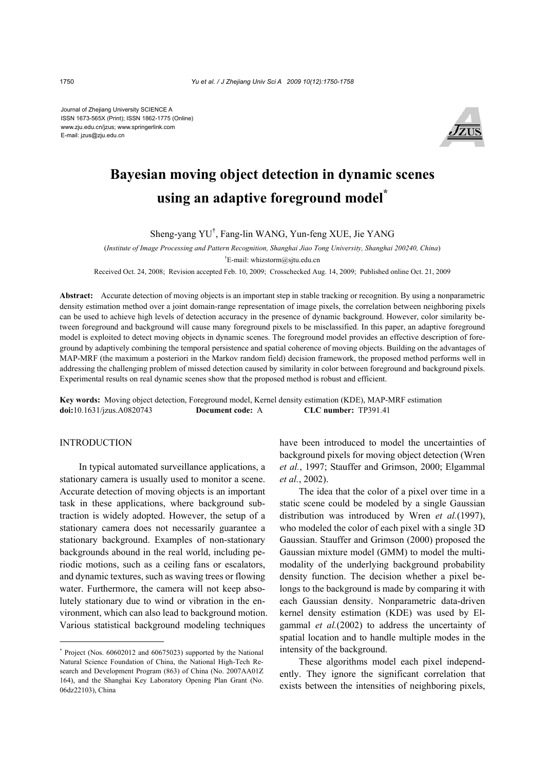Journal of Zhejiang University SCIENCE A ISSN 1673-565X (Print); ISSN 1862-1775 (Online) www.zju.edu.cn/jzus; www.springerlink.com E-mail: jzus@zju.edu.cn



# **Bayesian moving object detection in dynamic scenes using an adaptive foreground model\***

Sheng-yang YU† , Fang-lin WANG, Yun-feng XUE, Jie YANG

(*Institute of Image Processing and Pattern Recognition, Shanghai Jiao Tong University, Shanghai 200240, China*) † E-mail: whizstorm@sjtu.edu.cn

Received Oct. 24, 2008; Revision accepted Feb. 10, 2009; Crosschecked Aug. 14, 2009; Published online Oct. 21, 2009

**Abstract:** Accurate detection of moving objects is an important step in stable tracking or recognition. By using a nonparametric density estimation method over a joint domain-range representation of image pixels, the correlation between neighboring pixels can be used to achieve high levels of detection accuracy in the presence of dynamic background. However, color similarity between foreground and background will cause many foreground pixels to be misclassified. In this paper, an adaptive foreground model is exploited to detect moving objects in dynamic scenes. The foreground model provides an effective description of foreground by adaptively combining the temporal persistence and spatial coherence of moving objects. Building on the advantages of MAP-MRF (the maximum a posteriori in the Markov random field) decision framework, the proposed method performs well in addressing the challenging problem of missed detection caused by similarity in color between foreground and background pixels. Experimental results on real dynamic scenes show that the proposed method is robust and efficient.

**Key words:** Moving object detection, Foreground model, Kernel density estimation (KDE), MAP-MRF estimation **doi:**10.1631/jzus.A0820743 **Document code:** A **CLC number:** TP391.41

# INTRODUCTION

In typical automated surveillance applications, a stationary camera is usually used to monitor a scene. Accurate detection of moving objects is an important task in these applications, where background subtraction is widely adopted. However, the setup of a stationary camera does not necessarily guarantee a stationary background. Examples of non-stationary backgrounds abound in the real world, including periodic motions, such as a ceiling fans or escalators, and dynamic textures, such as waving trees or flowing water. Furthermore, the camera will not keep absolutely stationary due to wind or vibration in the environment, which can also lead to background motion. Various statistical background modeling techniques

have been introduced to model the uncertainties of background pixels for moving object detection (Wren *et al.*, 1997; Stauffer and Grimson, 2000; Elgammal *et al.*, 2002).

The idea that the color of a pixel over time in a static scene could be modeled by a single Gaussian distribution was introduced by Wren *et al.*(1997), who modeled the color of each pixel with a single 3D Gaussian. Stauffer and Grimson (2000) proposed the Gaussian mixture model (GMM) to model the multimodality of the underlying background probability density function. The decision whether a pixel belongs to the background is made by comparing it with each Gaussian density. Nonparametric data-driven kernel density estimation (KDE) was used by Elgammal *et al.*(2002) to address the uncertainty of spatial location and to handle multiple modes in the intensity of the background.

These algorithms model each pixel independently. They ignore the significant correlation that exists between the intensities of neighboring pixels,

<sup>\*</sup> Project (Nos. 60602012 and 60675023) supported by the National Natural Science Foundation of China, the National High-Tech Research and Development Program (863) of China (No. 2007AA01Z 164), and the Shanghai Key Laboratory Opening Plan Grant (No. 06dz22103), China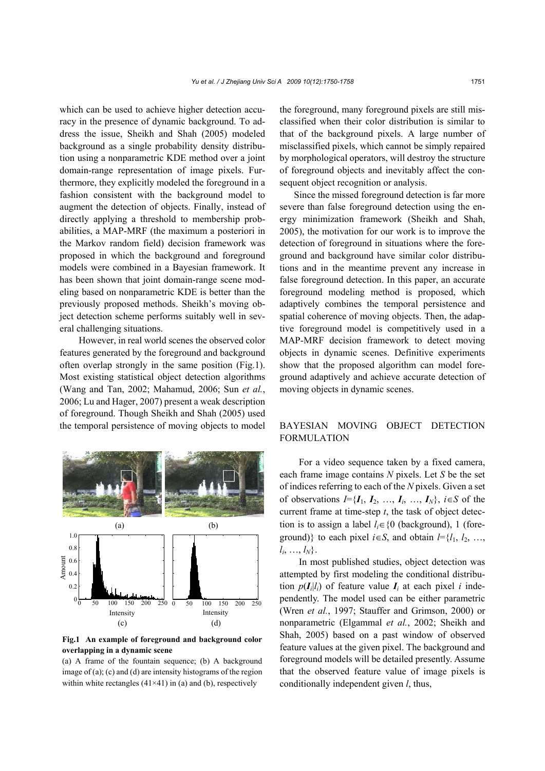which can be used to achieve higher detection accuracy in the presence of dynamic background. To address the issue, Sheikh and Shah (2005) modeled background as a single probability density distribution using a nonparametric KDE method over a joint domain-range representation of image pixels. Furthermore, they explicitly modeled the foreground in a fashion consistent with the background model to augment the detection of objects. Finally, instead of directly applying a threshold to membership probabilities, a MAP-MRF (the maximum a posteriori in the Markov random field) decision framework was proposed in which the background and foreground models were combined in a Bayesian framework. It has been shown that joint domain-range scene modeling based on nonparametric KDE is better than the previously proposed methods. Sheikh's moving object detection scheme performs suitably well in several challenging situations.

However, in real world scenes the observed color features generated by the foreground and background often overlap strongly in the same position (Fig.1). Most existing statistical object detection algorithms (Wang and Tan, 2002; Mahamud, 2006; Sun *et al.*, 2006; Lu and Hager, 2007) present a weak description of foreground. Though Sheikh and Shah (2005) used the temporal persistence of moving objects to model



**Fig.1 An example of foreground and background color overlapping in a dynamic scene** 

(a) A frame of the fountain sequence; (b) A background image of (a); (c) and (d) are intensity histograms of the region the foreground, many foreground pixels are still misclassified when their color distribution is similar to that of the background pixels. A large number of misclassified pixels, which cannot be simply repaired by morphological operators, will destroy the structure of foreground objects and inevitably affect the consequent object recognition or analysis.

Since the missed foreground detection is far more severe than false foreground detection using the energy minimization framework (Sheikh and Shah, 2005), the motivation for our work is to improve the detection of foreground in situations where the foreground and background have similar color distributions and in the meantime prevent any increase in false foreground detection. In this paper, an accurate foreground modeling method is proposed, which adaptively combines the temporal persistence and spatial coherence of moving objects. Then, the adaptive foreground model is competitively used in a MAP-MRF decision framework to detect moving objects in dynamic scenes. Definitive experiments show that the proposed algorithm can model foreground adaptively and achieve accurate detection of moving objects in dynamic scenes.

# BAYESIAN MOVING OBJECT DETECTION FORMULATION

For a video sequence taken by a fixed camera, each frame image contains *N* pixels. Let *S* be the set of indices referring to each of the *N* pixels. Given a set of observations  $I = {I_1, I_2, ..., I_i, ..., I_N}$ , *i*∈*S* of the current frame at time-step *t*, the task of object detection is to assign a label  $l_i \in \{0 \text{ (background)}\}$ , 1 (foreground)} to each pixel  $i \in S$ , and obtain  $l = \{l_1, l_2, ...,$  $l_i, ..., l_N$ .

In most published studies, object detection was attempted by first modeling the conditional distribution  $p(I_i|l_i)$  of feature value  $I_i$  at each pixel *i* independently. The model used can be either parametric (Wren *et al.*, 1997; Stauffer and Grimson, 2000) or nonparametric (Elgammal *et al.*, 2002; Sheikh and Shah, 2005) based on a past window of observed feature values at the given pixel. The background and foreground models will be detailed presently. Assume that the observed feature value of image pixels is conditionally independent given *l*, thus,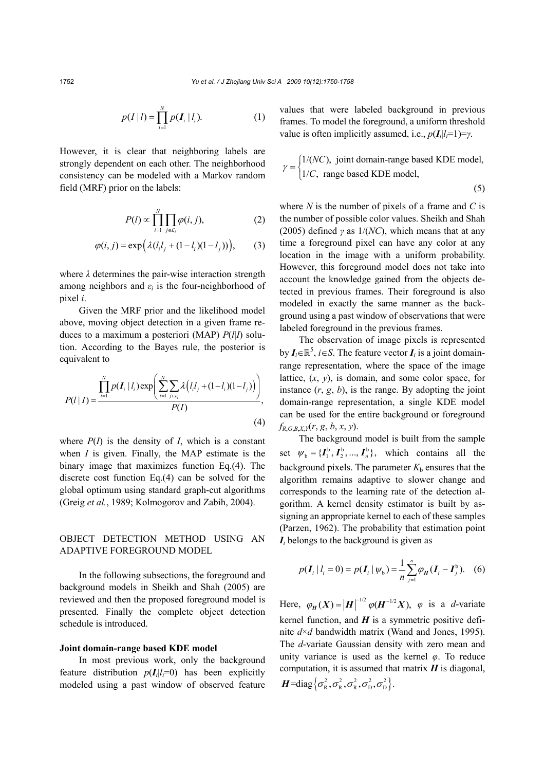$$
p(I | l) = \prod_{i=1}^{N} p(I_i | l_i).
$$
 (1)

However, it is clear that neighboring labels are strongly dependent on each other. The neighborhood consistency can be modeled with a Markov random field (MRF) prior on the labels:

$$
P(l) \propto \prod_{i=1}^{N} \prod_{j \in \mathcal{E}_i} \varphi(i, j), \tag{2}
$$

$$
\varphi(i,j) = \exp\left(\lambda (l_i l_j + (1 - l_i)(1 - l_j))\right),\tag{3}
$$

where *λ* determines the pair-wise interaction strength among neighbors and  $\varepsilon_i$  is the four-neighborhood of pixel *i*.

Given the MRF prior and the likelihood model above, moving object detection in a given frame reduces to a maximum a posteriori (MAP) *P*(*l*|*I*) solution. According to the Bayes rule, the posterior is equivalent to

$$
P(l | I) = \frac{\prod_{i=1}^{N} p(I_i | I_i) \exp\left(\sum_{i=1}^{N} \sum_{j \in \varepsilon_i} \lambda(I_i I_j + (1 - I_i)(1 - I_j))\right)}{P(I)},
$$
\n(4)

where  $P(I)$  is the density of *I*, which is a constant when *I* is given. Finally, the MAP estimate is the binary image that maximizes function Eq.(4). The discrete cost function Eq.(4) can be solved for the global optimum using standard graph-cut algorithms (Greig *et al.*, 1989; Kolmogorov and Zabih, 2004).

# OBJECT DETECTION METHOD USING AN ADAPTIVE FOREGROUND MODEL

In the following subsections, the foreground and background models in Sheikh and Shah (2005) are reviewed and then the proposed foreground model is presented. Finally the complete object detection schedule is introduced.

## **Joint domain-range based KDE model**

In most previous work, only the background feature distribution  $p(I_i|I_i=0)$  has been explicitly modeled using a past window of observed feature values that were labeled background in previous frames. To model the foreground, a uniform threshold value is often implicitly assumed, i.e.,  $p(I_i|I_i=1)=\gamma$ .

$$
\gamma = \begin{cases} 1/(NC), \text{ joint domain-range based KDE model,} \\ 1/C, \text{ range based KDE model,} \end{cases}
$$

(5)

where *N* is the number of pixels of a frame and *C* is the number of possible color values. Sheikh and Shah (2005) defined *γ* as 1/(*NC*), which means that at any time a foreground pixel can have any color at any location in the image with a uniform probability. However, this foreground model does not take into account the knowledge gained from the objects detected in previous frames. Their foreground is also modeled in exactly the same manner as the background using a past window of observations that were labeled foreground in the previous frames.

The observation of image pixels is represented by  $I_i \in \mathbb{R}^5$ ,  $i \in S$ . The feature vector  $I_i$  is a joint domainrange representation, where the space of the image lattice,  $(x, y)$ , is domain, and some color space, for instance  $(r, g, b)$ , is the range. By adopting the joint domain-range representation, a single KDE model can be used for the entire background or foreground *fR*,*G*,*B*,*X*,*Y*(*r*, *g*, *b*, *x*, *y*).

The background model is built from the sample set  $\psi_b = \{I_1^b, I_2^b, ..., I_n^b\}$ , which contains all the background pixels. The parameter  $K<sub>b</sub>$  ensures that the algorithm remains adaptive to slower change and corresponds to the learning rate of the detection algorithm. A kernel density estimator is built by assigning an appropriate kernel to each of these samples (Parzen, 1962). The probability that estimation point *Ii* belongs to the background is given as

$$
p(I_i | I_i = 0) = p(I_i | \psi_b) = \frac{1}{n} \sum_{j=1}^n \varphi_H(I_i - I_j^b).
$$
 (6)

Here,  $\varphi_H(X) = |H|^{-1/2} \varphi(H^{-1/2}X)$ ,  $\varphi$  is a *d*-variate kernel function, and  $H$  is a symmetric positive definite  $d \times d$  bandwidth matrix (Wand and Jones, 1995). The *d*-variate Gaussian density with zero mean and unity variance is used as the kernel *φ*. To reduce computation, it is assumed that matrix  $H$  is diagonal,  $H = \text{diag} \{\sigma_{\text{R}}^2, \sigma_{\text{R}}^2, \sigma_{\text{R}}^2, \sigma_{\text{D}}^2, \sigma_{\text{D}}^2\}.$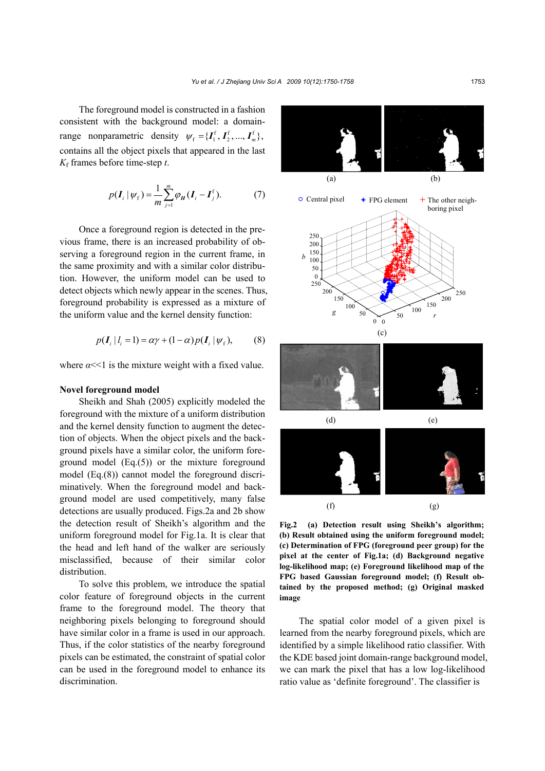The foreground model is constructed in a fashion consistent with the background model: a domainrange nonparametric density  $\psi_f = \{I_1^f, I_2^f, ..., I_m^f\}$ , contains all the object pixels that appeared in the last  $K_f$  frames before time-step  $t$ .

$$
p(I_i | \psi_f) = \frac{1}{m} \sum_{j=1}^{m} \varphi_H (I_i - I_j^f). \tag{7}
$$

Once a foreground region is detected in the previous frame, there is an increased probability of observing a foreground region in the current frame, in the same proximity and with a similar color distribution. However, the uniform model can be used to detect objects which newly appear in the scenes. Thus, foreground probability is expressed as a mixture of the uniform value and the kernel density function:

$$
p(I_i | l_i = 1) = \alpha \gamma + (1 - \alpha) p(I_i | \psi_f), \qquad (8)
$$

where  $\alpha \ll 1$  is the mixture weight with a fixed value.

## **Novel foreground model**

Sheikh and Shah (2005) explicitly modeled the foreground with the mixture of a uniform distribution and the kernel density function to augment the detection of objects. When the object pixels and the background pixels have a similar color, the uniform foreground model (Eq.(5)) or the mixture foreground model (Eq.(8)) cannot model the foreground discriminatively. When the foreground model and background model are used competitively, many false detections are usually produced. Figs.2a and 2b show the detection result of Sheikh's algorithm and the uniform foreground model for Fig.1a. It is clear that the head and left hand of the walker are seriously misclassified, because of their similar color distribution.

To solve this problem, we introduce the spatial color feature of foreground objects in the current frame to the foreground model. The theory that neighboring pixels belonging to foreground should have similar color in a frame is used in our approach. Thus, if the color statistics of the nearby foreground pixels can be estimated, the constraint of spatial color can be used in the foreground model to enhance its discrimination.

(d) (e)  $(f)$  (g) (c) (a) (b) 0 0  $50$ 100 150 200 250 50 100 150 200 250  $\Omega$ 50 100 150 200 250  $\frac{100}{50}$   $\frac{100}{7}$   $\frac{100}{7}$ *b*  $\circ$  Central pixel  $*$  FPG element  $+$  The other neighboring pixel **\*** FPG element

**Fig.2 (a) Detection result using Sheikh's algorithm; (b) Result obtained using the uniform foreground model; (c) Determination of FPG (foreground peer group) for the pixel at the center of Fig.1a; (d) Background negative log-likelihood map; (e) Foreground likelihood map of the FPG based Gaussian foreground model; (f) Result obtained by the proposed method; (g) Original masked image**

The spatial color model of a given pixel is learned from the nearby foreground pixels, which are identified by a simple likelihood ratio classifier. With the KDE based joint domain-range background model, we can mark the pixel that has a low log-likelihood ratio value as 'definite foreground'. The classifier is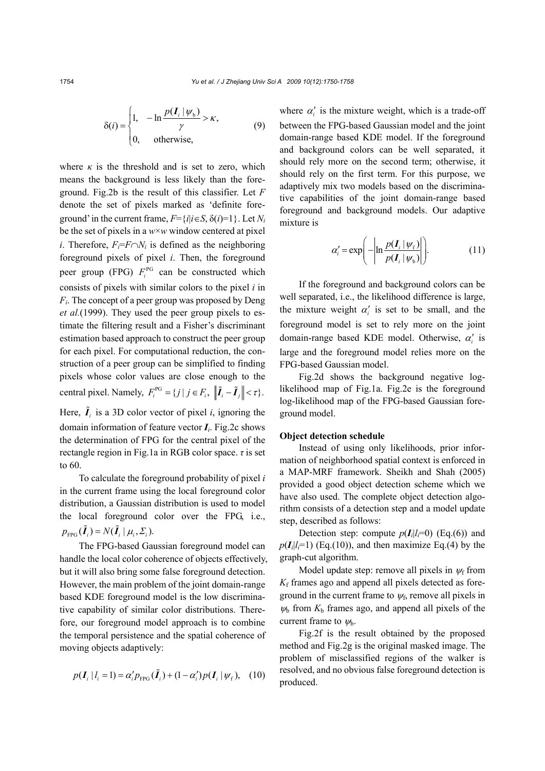$$
\delta(i) = \begin{cases} 1, & -\ln \frac{p(I_i \mid \psi_b)}{\gamma} > \kappa, \\ 0, & \text{otherwise,} \end{cases}
$$
(9)

where  $\kappa$  is the threshold and is set to zero, which means the background is less likely than the foreground. Fig.2b is the result of this classifier. Let *F* denote the set of pixels marked as 'definite foreground' in the current frame,  $F=\{i|i\in S, \delta(i)=1\}$ . Let  $N_i$ be the set of pixels in a *w*×*w* window centered at pixel *i*. Therefore,  $F_i = F \cap N_i$  is defined as the neighboring foreground pixels of pixel *i*. Then, the foreground peer group (FPG)  $F_i^{PG}$  can be constructed which consists of pixels with similar colors to the pixel *i* in *Fi*. The concept of a peer group was proposed by Deng *et al.*(1999). They used the peer group pixels to estimate the filtering result and a Fisher's discriminant estimation based approach to construct the peer group for each pixel. For computational reduction, the construction of a peer group can be simplified to finding pixels whose color values are close enough to the central pixel. Namely,  $F_i^{PG} = \{j | j \in F_i, \|\tilde{I}_i - \tilde{I}_j\| < \tau\}.$ 

Here,  $\tilde{I}_i$  is a 3D color vector of pixel *i*, ignoring the domain information of feature vector  $I_i$ . Fig.2c shows the determination of FPG for the central pixel of the rectangle region in Fig.1a in RGB color space. *τ* is set to 60.

To calculate the foreground probability of pixel *i* in the current frame using the local foreground color distribution, a Gaussian distribution is used to model the local foreground color over the FPG, i.e.,  $p_{\text{FPG}}(\tilde{\bm{I}}_i) = N(\tilde{\bm{I}}_i | \mu_i, \Sigma_i).$ 

The FPG-based Gaussian foreground model can handle the local color coherence of objects effectively, but it will also bring some false foreground detection. However, the main problem of the joint domain-range based KDE foreground model is the low discriminative capability of similar color distributions. Therefore, our foreground model approach is to combine the temporal persistence and the spatial coherence of moving objects adaptively:

$$
p(\boldsymbol{I}_i | l_i = 1) = \alpha_i' p_{\text{FPG}}(\tilde{\boldsymbol{I}}_i) + (1 - \alpha_i') p(\boldsymbol{I}_i | \boldsymbol{\psi}_f), \quad (10)
$$

where  $\alpha'_{i}$  is the mixture weight, which is a trade-off between the FPG-based Gaussian model and the joint domain-range based KDE model. If the foreground and background colors can be well separated, it should rely more on the second term; otherwise, it should rely on the first term. For this purpose, we adaptively mix two models based on the discriminative capabilities of the joint domain-range based foreground and background models. Our adaptive mixture is

$$
\alpha'_{i} = \exp\left(-\left|\ln\frac{p(I_{i} | \psi_{f})}{p(I_{i} | \psi_{b})}\right|\right).
$$
 (11)

If the foreground and background colors can be well separated, i.e., the likelihood difference is large, the mixture weight  $\alpha'$  is set to be small, and the foreground model is set to rely more on the joint domain-range based KDE model. Otherwise, <sup>α</sup>*<sup>i</sup>* ′ is large and the foreground model relies more on the FPG-based Gaussian model.

Fig.2d shows the background negative loglikelihood map of Fig.1a. Fig.2e is the foreground log-likelihood map of the FPG-based Gaussian foreground model.

#### **Object detection schedule**

Instead of using only likelihoods, prior information of neighborhood spatial context is enforced in a MAP-MRF framework. Sheikh and Shah (2005) provided a good object detection scheme which we have also used. The complete object detection algorithm consists of a detection step and a model update step, described as follows:

Detection step: compute  $p(I_i|I_i=0)$  (Eq.(6)) and  $p(I_i|I_i=1)$  (Eq.(10)), and then maximize Eq.(4) by the graph-cut algorithm.

Model update step: remove all pixels in  $\psi_f$  from  $K_f$  frames ago and append all pixels detected as foreground in the current frame to  $\psi_f$ , remove all pixels in  $\psi_b$  from  $K_b$  frames ago, and append all pixels of the current frame to  $\psi$ <sub>b</sub>.

Fig.2f is the result obtained by the proposed method and Fig.2g is the original masked image. The problem of misclassified regions of the walker is resolved, and no obvious false foreground detection is produced.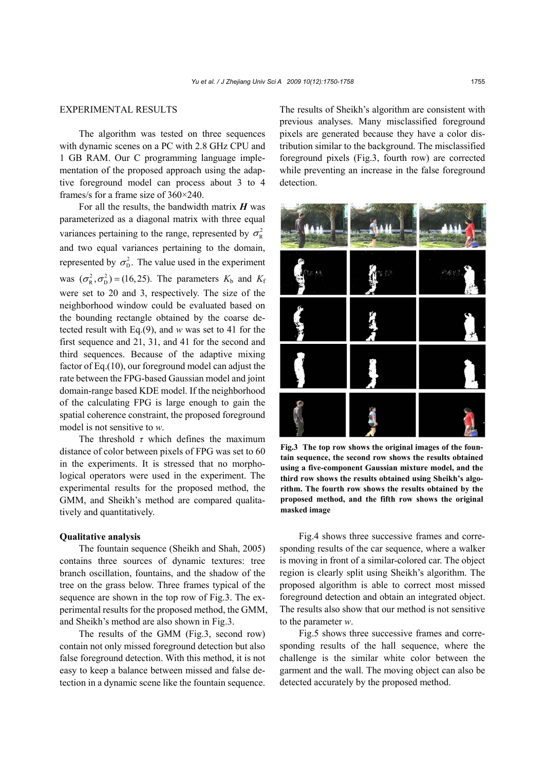# EXPERIMENTAL RESULTS

The algorithm was tested on three sequences with dynamic scenes on a PC with 2.8 GHz CPU and 1 GB RAM. Our C programming language implementation of the proposed approach using the adaptive foreground model can process about 3 to 4 frames/s for a frame size of 360×240.

For all the results, the bandwidth matrix *H* was parameterized as a diagonal matrix with three equal variances pertaining to the range, represented by  $\sigma_{\rm R}^2$ and two equal variances pertaining to the domain, represented by  $\sigma_{\rm p}^2$ . The value used in the experiment was  $(\sigma_R^2, \sigma_D^2) = (16, 25)$ . The parameters  $K_b$  and  $K_f$ were set to 20 and 3, respectively. The size of the neighborhood window could be evaluated based on the bounding rectangle obtained by the coarse detected result with Eq.(9), and *w* was set to 41 for the first sequence and 21, 31, and 41 for the second and third sequences. Because of the adaptive mixing factor of Eq.(10), our foreground model can adjust the rate between the FPG-based Gaussian model and joint domain-range based KDE model. If the neighborhood of the calculating FPG is large enough to gain the spatial coherence constraint, the proposed foreground model is not sensitive to *w*.

The threshold *τ* which defines the maximum distance of color between pixels of FPG was set to 60 in the experiments. It is stressed that no morphological operators were used in the experiment. The experimental results for the proposed method, the GMM, and Sheikh's method are compared qualitatively and quantitatively.

### **Qualitative analysis**

The fountain sequence (Sheikh and Shah, 2005) contains three sources of dynamic textures: tree branch oscillation, fountains, and the shadow of the tree on the grass below. Three frames typical of the sequence are shown in the top row of Fig.3. The experimental results for the proposed method, the GMM, and Sheikh's method are also shown in Fig.3.

The results of the GMM (Fig.3, second row) contain not only missed foreground detection but also false foreground detection. With this method, it is not easy to keep a balance between missed and false detection in a dynamic scene like the fountain sequence.

The results of Sheikh's algorithm are consistent with previous analyses. Many misclassified foreground pixels are generated because they have a color distribution similar to the background. The misclassified foreground pixels (Fig.3, fourth row) are corrected while preventing an increase in the false foreground detection.



**Fig.3 The top row shows the original images of the fountain sequence, the second row shows the results obtained using a five-component Gaussian mixture model, and the third row shows the results obtained using Sheikh's algorithm. The fourth row shows the results obtained by the proposed method, and the fifth row shows the original masked image**

Fig.4 shows three successive frames and corresponding results of the car sequence, where a walker is moving in front of a similar-colored car. The object region is clearly split using Sheikh's algorithm. The proposed algorithm is able to correct most missed foreground detection and obtain an integrated object. The results also show that our method is not sensitive to the parameter *w*.

Fig.5 shows three successive frames and corresponding results of the hall sequence, where the challenge is the similar white color between the garment and the wall. The moving object can also be detected accurately by the proposed method.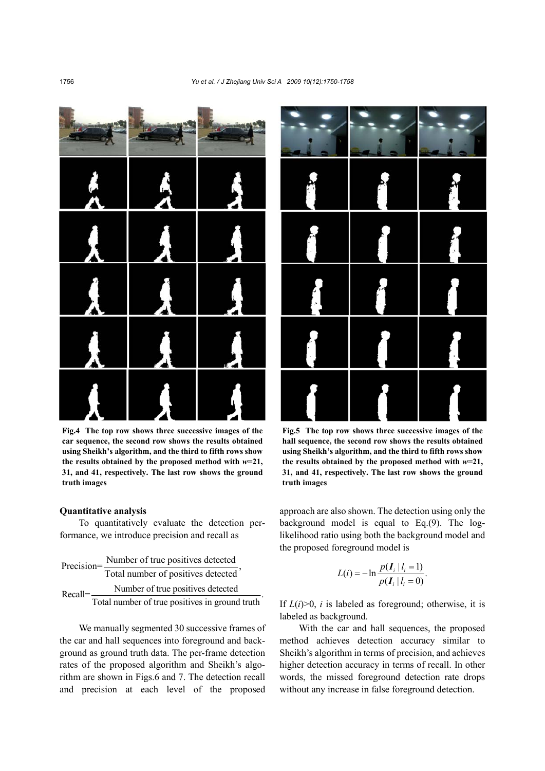

**Fig.4 The top row shows three successive images of the car sequence, the second row shows the results obtained using Sheikh's algorithm, and the third to fifth rows show the results obtained by the proposed method with** *w***=21, 31, and 41, respectively. The last row shows the ground truth images**

#### **Quantitative analysis**

To quantitatively evaluate the detection performance, we introduce precision and recall as

$$
Precision = \frac{Number of true positives detected}{Total number of positives detected},
$$
\n
$$
Recall = \frac{Number of true positives detected}{Total number of true positives in ground truth}.
$$

We manually segmented 30 successive frames of the car and hall sequences into foreground and background as ground truth data. The per-frame detection rates of the proposed algorithm and Sheikh's algorithm are shown in Figs.6 and 7. The detection recall and precision at each level of the proposed



**Fig.5 The top row shows three successive images of the hall sequence, the second row shows the results obtained using Sheikh's algorithm, and the third to fifth rows show the results obtained by the proposed method with** *w***=21, 31, and 41, respectively. The last row shows the ground truth images**

approach are also shown. The detection using only the background model is equal to Eq.(9). The loglikelihood ratio using both the background model and the proposed foreground model is

$$
L(i) = -\ln \frac{p(I_i \mid l_i = 1)}{p(I_i \mid l_i = 0)}.
$$

If  $L(i) > 0$ , *i* is labeled as foreground; otherwise, it is labeled as background.

With the car and hall sequences, the proposed method achieves detection accuracy similar to Sheikh's algorithm in terms of precision, and achieves higher detection accuracy in terms of recall. In other words, the missed foreground detection rate drops without any increase in false foreground detection.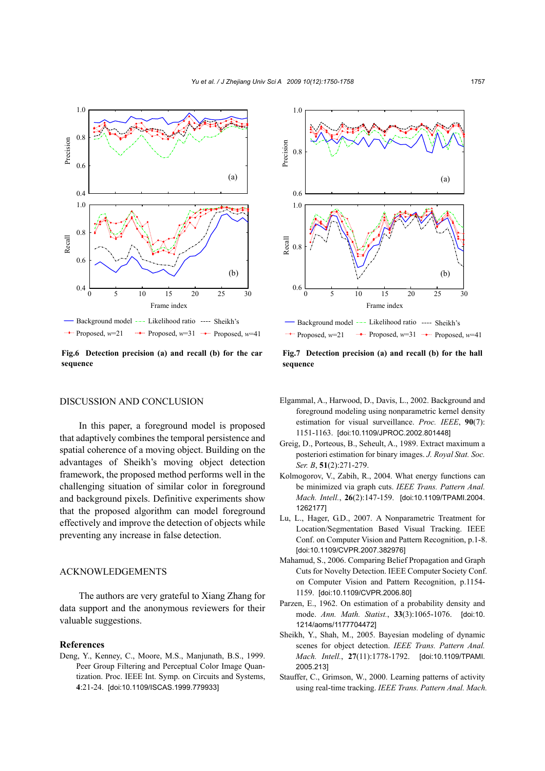

**Fig.6 Detection precision (a) and recall (b) for the car sequence**

## DISCUSSION AND CONCLUSION

In this paper, a foreground model is proposed that adaptively combines the temporal persistence and spatial coherence of a moving object. Building on the advantages of Sheikh's moving object detection framework, the proposed method performs well in the challenging situation of similar color in foreground and background pixels. Definitive experiments show that the proposed algorithm can model foreground effectively and improve the detection of objects while preventing any increase in false detection.

## ACKNOWLEDGEMENTS

The authors are very grateful to Xiang Zhang for data support and the anonymous reviewers for their valuable suggestions.

#### **References**

Deng, Y., Kenney, C., Moore, M.S., Manjunath, B.S., 1999. Peer Group Filtering and Perceptual Color Image Quantization. Proc. IEEE Int. Symp. on Circuits and Systems, **4**:21-24. [doi:10.1109/ISCAS.1999.779933]



**Fig.7 Detection precision (a) and recall (b) for the hall sequence**

- Elgammal, A., Harwood, D., Davis, L., 2002. Background and foreground modeling using nonparametric kernel density estimation for visual surveillance. *Proc. IEEE*, **90**(7): 1151-1163. [doi:10.1109/JPROC.2002.801448]
- Greig, D., Porteous, B., Seheult, A., 1989. Extract maximum a posteriori estimation for binary images. *J. Royal Stat. Soc. Ser. B*, **51**(2):271-279.
- Kolmogorov, V., Zabih, R., 2004. What energy functions can be minimized via graph cuts. *IEEE Trans. Pattern Anal. Mach. Intell.*, **26**(2):147-159. [doi:10.1109/TPAMI.2004. 1262177]
- Lu, L., Hager, G.D., 2007. A Nonparametric Treatment for Location/Segmentation Based Visual Tracking. IEEE Conf. on Computer Vision and Pattern Recognition, p.1-8. [doi:10.1109/CVPR.2007.382976]
- Mahamud, S., 2006. Comparing Belief Propagation and Graph Cuts for Novelty Detection. IEEE Computer Society Conf. on Computer Vision and Pattern Recognition, p.1154- 1159. [doi:10.1109/CVPR.2006.80]
- Parzen, E., 1962. On estimation of a probability density and mode. *Ann. Math. Statist.*, **33**(3):1065-1076. [doi:10. 1214/aoms/1177704472]
- Sheikh, Y., Shah, M., 2005. Bayesian modeling of dynamic scenes for object detection. *IEEE Trans. Pattern Anal. Mach. Intell.*, **27**(11):1778-1792. [doi:10.1109/TPAMI. 2005.213]
- Stauffer, C., Grimson, W., 2000. Learning patterns of activity using real-time tracking. *IEEE Trans. Pattern Anal. Mach.*